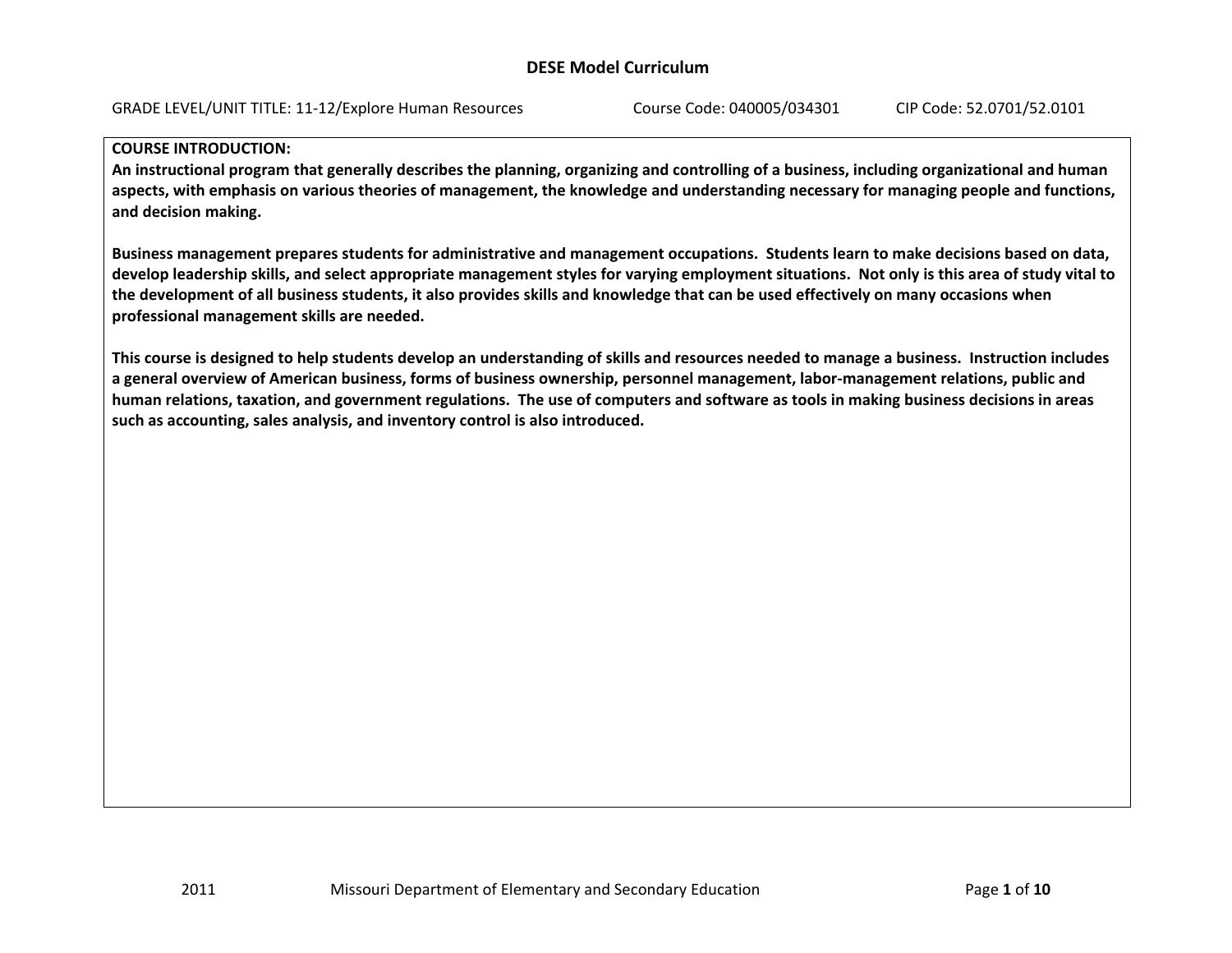#### **COURSE INTRODUCTION:**

An instructional program that generally describes the planning, organizing and controlling of a business, including organizational and human aspects, with emphasis on various theories of management, the knowledge and understanding necessary for managing people and functions, **and decision making.**

Business management prepares students for administrative and management occupations. Students learn to make decisions based on data, develop leadership skills, and select appropriate management styles for varying employment situations. Not only is this area of study vital to the development of all business students, it also provides skills and knowledge that can be used effectively on many occasions when **professional management skills are needed.**

This course is designed to help students develop an understanding of skills and resources needed to manage a business. Instruction includes a general overview of American business, forms of business ownership, personnel management, labor-management relations, public and human relations, taxation, and government regulations. The use of computers and software as tools in making business decisions in areas **such as accounting, sales analysis, and inventory control is also introduced.**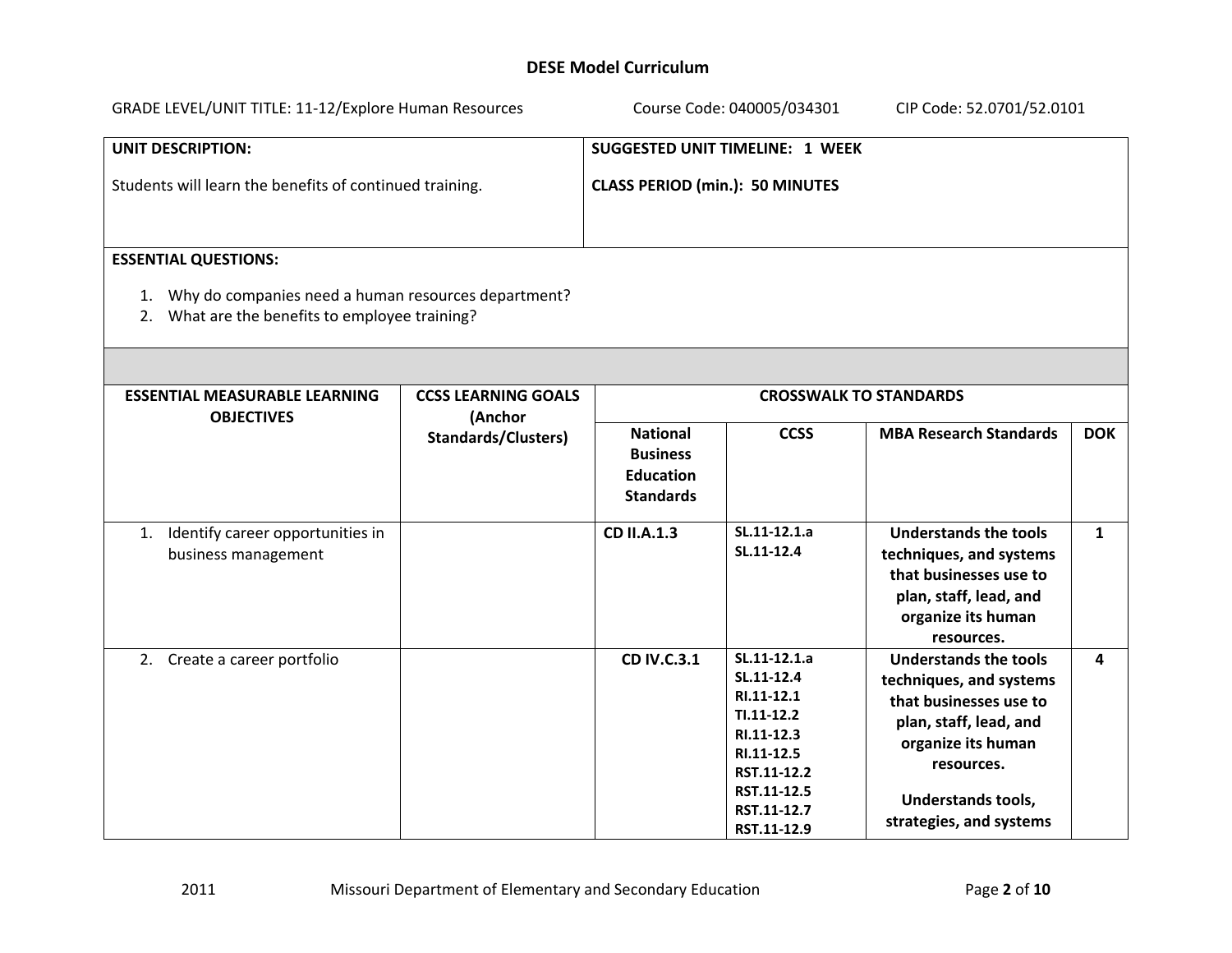| GRADE LEVEL/UNIT TITLE: 11-12/Explore Human Resources                                                                                   |                                                                     | Course Code: 040005/034301<br>CIP Code: 52.0701/52.0101                          |                                                                                                                                                  |                                                                                                                                                                                                  |              |  |
|-----------------------------------------------------------------------------------------------------------------------------------------|---------------------------------------------------------------------|----------------------------------------------------------------------------------|--------------------------------------------------------------------------------------------------------------------------------------------------|--------------------------------------------------------------------------------------------------------------------------------------------------------------------------------------------------|--------------|--|
| <b>UNIT DESCRIPTION:</b><br>Students will learn the benefits of continued training.                                                     |                                                                     | <b>SUGGESTED UNIT TIMELINE: 1 WEEK</b><br><b>CLASS PERIOD (min.): 50 MINUTES</b> |                                                                                                                                                  |                                                                                                                                                                                                  |              |  |
| <b>ESSENTIAL QUESTIONS:</b><br>1. Why do companies need a human resources department?<br>2. What are the benefits to employee training? |                                                                     |                                                                                  |                                                                                                                                                  |                                                                                                                                                                                                  |              |  |
| <b>ESSENTIAL MEASURABLE LEARNING</b><br><b>OBJECTIVES</b>                                                                               | <b>CCSS LEARNING GOALS</b><br>(Anchor<br><b>Standards/Clusters)</b> | <b>National</b><br><b>Business</b><br><b>Education</b><br><b>Standards</b>       | <b>CCSS</b>                                                                                                                                      | <b>CROSSWALK TO STANDARDS</b><br><b>MBA Research Standards</b>                                                                                                                                   | <b>DOK</b>   |  |
| Identify career opportunities in<br>1.<br>business management                                                                           |                                                                     | <b>CD II.A.1.3</b>                                                               | SL.11-12.1.a<br>SL.11-12.4                                                                                                                       | <b>Understands the tools</b><br>techniques, and systems<br>that businesses use to<br>plan, staff, lead, and<br>organize its human<br>resources.                                                  | $\mathbf{1}$ |  |
| 2. Create a career portfolio                                                                                                            |                                                                     | <b>CD IV.C.3.1</b>                                                               | SL.11-12.1.a<br>SL.11-12.4<br>RI.11-12.1<br>$TI.11-12.2$<br>RI.11-12.3<br>RI.11-12.5<br>RST.11-12.2<br>RST.11-12.5<br>RST.11-12.7<br>RST.11-12.9 | <b>Understands the tools</b><br>techniques, and systems<br>that businesses use to<br>plan, staff, lead, and<br>organize its human<br>resources.<br>Understands tools,<br>strategies, and systems | 4            |  |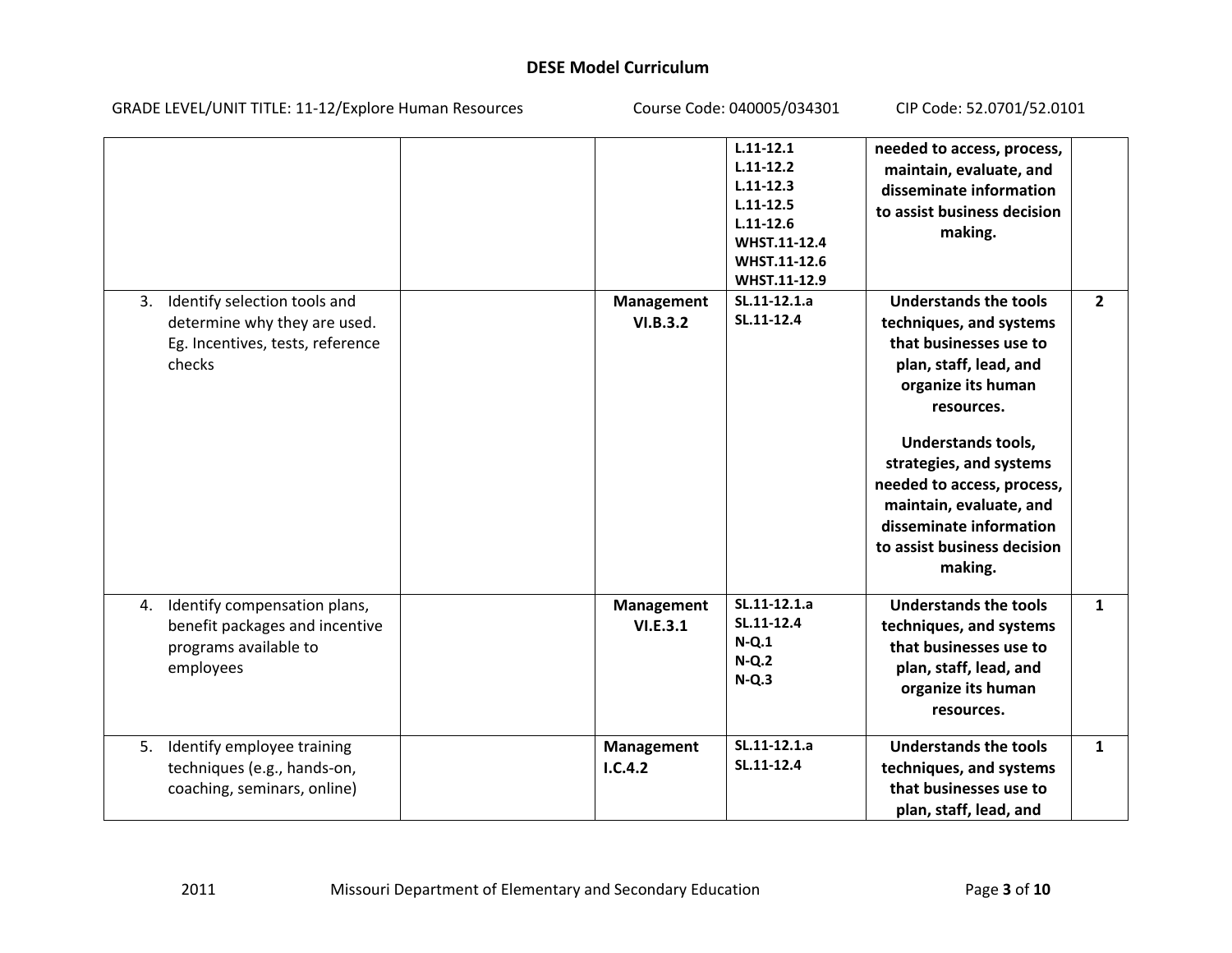| GRADE LEVEL/UNIT TITLE: 11-12/Explore Human Resources                                                            | Course Code: 040005/034301    |                                                                                                                                   | CIP Code: 52.0701/52.0101                                                                                                                                                                                                                                                                                                      |                |
|------------------------------------------------------------------------------------------------------------------|-------------------------------|-----------------------------------------------------------------------------------------------------------------------------------|--------------------------------------------------------------------------------------------------------------------------------------------------------------------------------------------------------------------------------------------------------------------------------------------------------------------------------|----------------|
|                                                                                                                  |                               | $L.11 - 12.1$<br>$L.11 - 12.2$<br>$L.11 - 12.3$<br>$L.11 - 12.5$<br>$L.11 - 12.6$<br>WHST.11-12.4<br>WHST.11-12.6<br>WHST.11-12.9 | needed to access, process,<br>maintain, evaluate, and<br>disseminate information<br>to assist business decision<br>making.                                                                                                                                                                                                     |                |
| Identify selection tools and<br>3.<br>determine why they are used.<br>Eg. Incentives, tests, reference<br>checks | <b>Management</b><br>VI.B.3.2 | SL.11-12.1.a<br>SL.11-12.4                                                                                                        | <b>Understands the tools</b><br>techniques, and systems<br>that businesses use to<br>plan, staff, lead, and<br>organize its human<br>resources.<br>Understands tools,<br>strategies, and systems<br>needed to access, process,<br>maintain, evaluate, and<br>disseminate information<br>to assist business decision<br>making. | $\overline{2}$ |
| Identify compensation plans,<br>4.<br>benefit packages and incentive<br>programs available to<br>employees       | Management<br>VI.E.3.1        | SL.11-12.1.a<br>SL.11-12.4<br>$N-Q.1$<br>$N-Q.2$<br>$N-Q.3$                                                                       | <b>Understands the tools</b><br>techniques, and systems<br>that businesses use to<br>plan, staff, lead, and<br>organize its human<br>resources.                                                                                                                                                                                | $\mathbf{1}$   |
| Identify employee training<br>5.<br>techniques (e.g., hands-on,<br>coaching, seminars, online)                   | Management<br>1.C.4.2         | SL.11-12.1.a<br>SL.11-12.4                                                                                                        | <b>Understands the tools</b><br>techniques, and systems<br>that businesses use to<br>plan, staff, lead, and                                                                                                                                                                                                                    | $\mathbf{1}$   |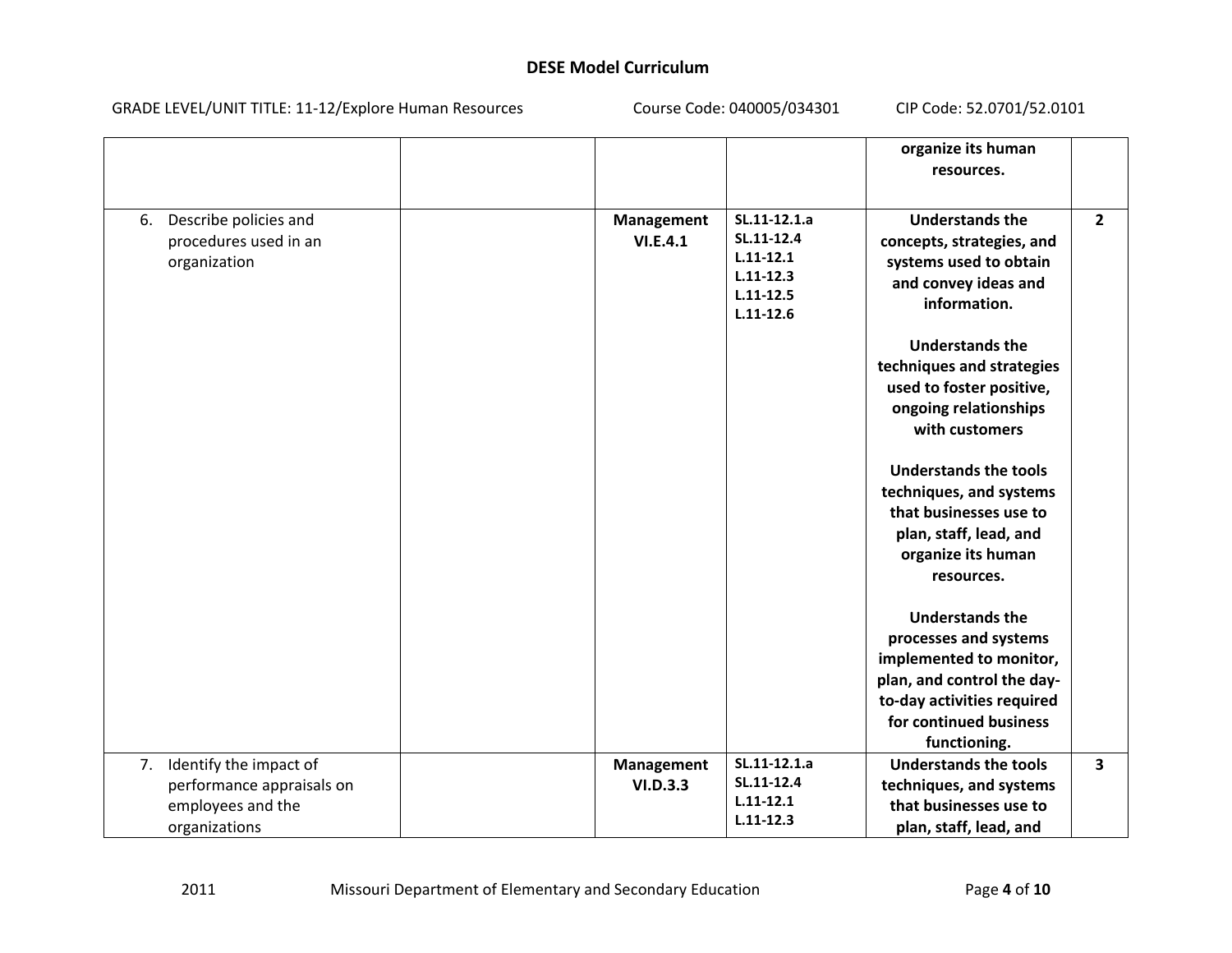| GRADE LEVEL/UNIT TITLE: 11-12/Explore Human Resources                                        | Course Code: 040005/034301    |                                                                                                | CIP Code: 52.0701/52.0101                                                                                                                                                        |                         |
|----------------------------------------------------------------------------------------------|-------------------------------|------------------------------------------------------------------------------------------------|----------------------------------------------------------------------------------------------------------------------------------------------------------------------------------|-------------------------|
|                                                                                              |                               |                                                                                                | organize its human<br>resources.                                                                                                                                                 |                         |
| 6. Describe policies and<br>procedures used in an<br>organization                            | <b>Management</b><br>VI.E.4.1 | SL.11-12.1.a<br>SL.11-12.4<br>$L.11 - 12.1$<br>$L.11 - 12.3$<br>$L.11 - 12.5$<br>$L.11 - 12.6$ | <b>Understands the</b><br>concepts, strategies, and<br>systems used to obtain<br>and convey ideas and<br>information.                                                            | $\overline{2}$          |
|                                                                                              |                               |                                                                                                | <b>Understands the</b><br>techniques and strategies<br>used to foster positive,<br>ongoing relationships<br>with customers                                                       |                         |
|                                                                                              |                               |                                                                                                | <b>Understands the tools</b><br>techniques, and systems<br>that businesses use to<br>plan, staff, lead, and<br>organize its human<br>resources.                                  |                         |
|                                                                                              |                               |                                                                                                | <b>Understands the</b><br>processes and systems<br>implemented to monitor,<br>plan, and control the day-<br>to-day activities required<br>for continued business<br>functioning. |                         |
| 7. Identify the impact of<br>performance appraisals on<br>employees and the<br>organizations | Management<br>VI.D.3.3        | SL.11-12.1.a<br>SL.11-12.4<br>$L.11 - 12.1$<br>$L.11 - 12.3$                                   | <b>Understands the tools</b><br>techniques, and systems<br>that businesses use to<br>plan, staff, lead, and                                                                      | $\overline{\mathbf{3}}$ |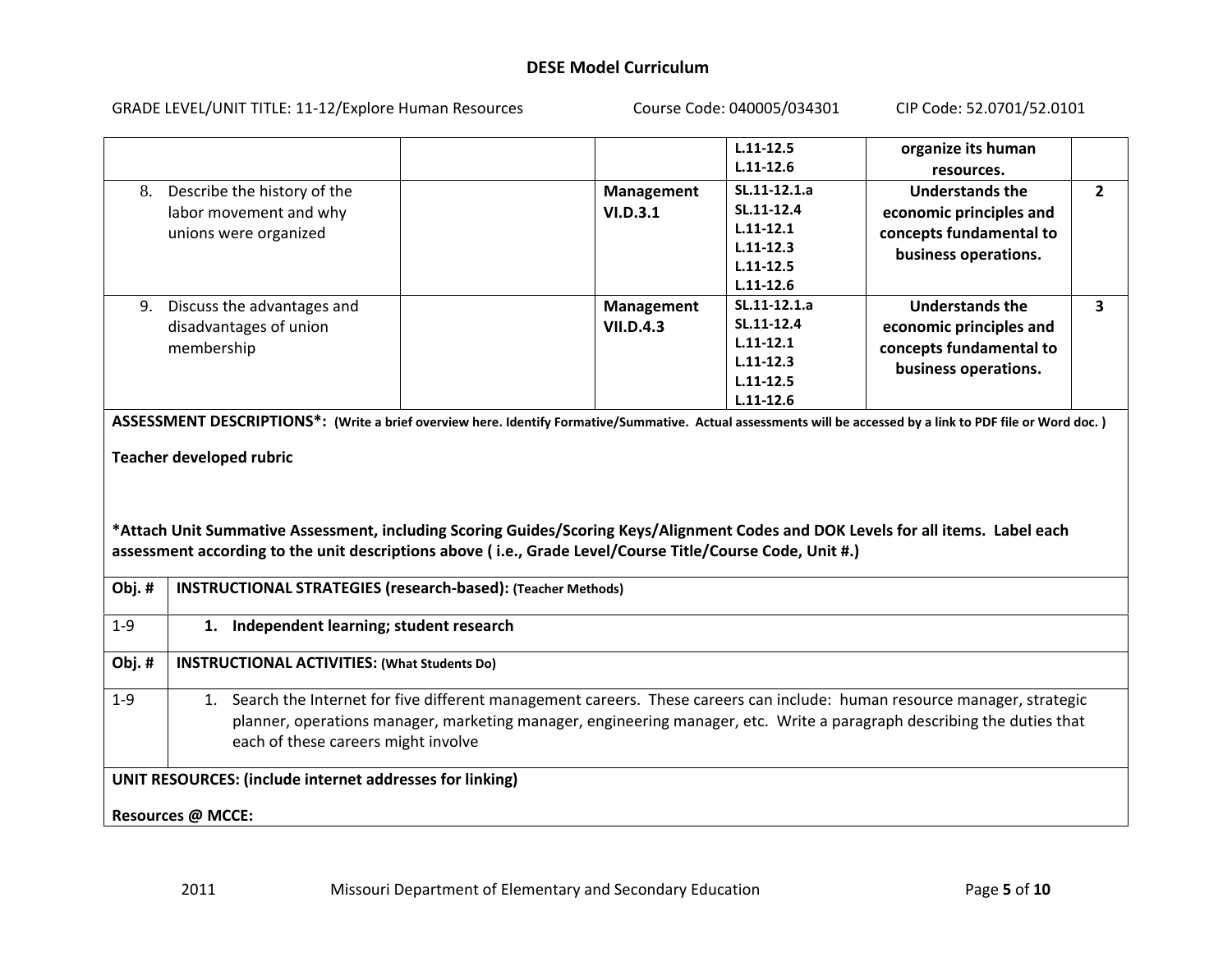GRADE LEVEL/UNIT TITLE: 11‐12/Explore Human Resources Course Code: 040005/034301 CIP Code: 52.0701/52.0101 **L.11‐12.5L.11‐12.6organize its human resources.**8. Describe the history of the labor movement and why unions were organized **Management VI.D.3.1SL.11‐12.1.aSL.11‐12.4L.11‐12.1L.11‐12.3L.11‐12.5L.11‐12.6Understands theeconomic principles and concepts fundamental to business operations.** 9. Discuss the advantages and disadvantages of union membership **Management VII.D.4.3SL.11‐12.1.aSL.11‐12.4L.11‐12.1L.11‐12.3L.11‐12.5L.11‐12.6Understands theeconomic principles and concepts fundamental to business operations.** ASSESSMENT DESCRIPTIONS\*: (Write a brief overview here. Identify Formative/Summative. Actual assessments will be accessed by a link to PDF file or Word doc. ) **Teacher developed rubric** \*Attach Unit Summative Assessment, including Scoring Guides/Scoring Keys/Alignment Codes and DOK Levels for all items. Label each **assessment according to the unit descriptions above ( i.e., Grade Level/Course Title/Course Code, Unit #.) Obj. # INSTRUCTIONAL STRATEGIES (research‐based): (Teacher Methods)** 1‐9 **1. Independent learning; student research Obj. # INSTRUCTIONAL ACTIVITIES: (What Students Do)** 1‐9 1. Search the Internet for five different management careers. These careers can include: human resource manager, strategic planner, operations manager, marketing manager, engineering manager, etc. Write <sup>a</sup> paragraph describing the duties that each of these careers might involve **UNIT RESOURCES: (include internet addresses for linking) Resources @ MCCE:**

**2**

**3**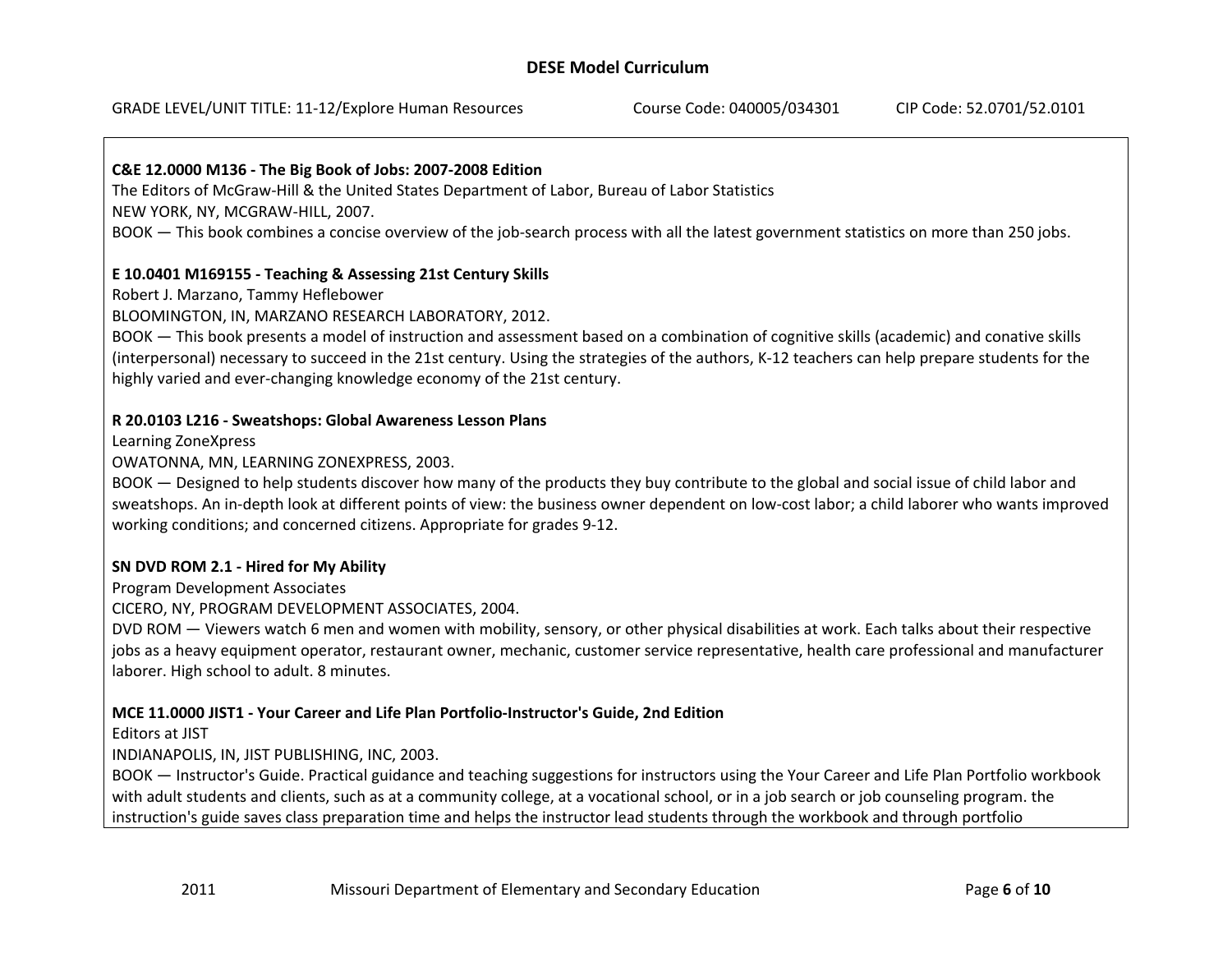## **C&E 12.0000 M136 ‐ The Big Book of Jobs: 2007‐2008 Edition**

The Editors of McGraw‐Hill & the United States Department of Labor, Bureau of Labor Statistics NEW YORK, NY, MCGRAW‐HILL, 2007.

BOOK — This book combines <sup>a</sup> concise overview of the job‐search process with all the latest government statistics on more than 250 jobs.

#### **E 10.0401 M169155 ‐ Teaching & Assessing 21st Century Skills**

Robert J. Marzano, Tammy Heflebower

BLOOMINGTON, IN, MARZANO RESEARCH LABORATORY, 2012.

BOOK — This book presents <sup>a</sup> model of instruction and assessment based on <sup>a</sup> combination of cognitive skills (academic) and conative skills (interpersonal) necessary to succeed in the 21st century. Using the strategies of the authors, K‐12 teachers can help prepare students for the highly varied and ever-changing knowledge economy of the 21st century.

#### **R 20.0103 L216 ‐ Sweatshops: Global Awareness Lesson Plans**

Learning ZoneXpress

OWATONNA, MN, LEARNING ZONEXPRESS, 2003.

BOOK — Designed to help students discover how many of the products they buy contribute to the global and social issue of child labor and sweatshops. An in‐depth look at different points of view: the business owner dependent on low‐cost labor; <sup>a</sup> child laborer who wants improved working conditions; and concerned citizens. Appropriate for grades 9‐12.

#### **SN DVD ROM 2.1 ‐ Hired for My Ability**

Program Development Associates

CICERO, NY, PROGRAM DEVELOPMENT ASSOCIATES, 2004.

DVD ROM — Viewers watch 6 men and women with mobility, sensory, or other physical disabilities at work. Each talks about their respective jobs as <sup>a</sup> heavy equipment operator, restaurant owner, mechanic, customer service representative, health care professional and manufacturer laborer. High school to adult. 8 minutes.

#### **MCE 11.0000 JIST1 ‐ Your Career and Life Plan Portfolio‐Instructor's Guide, 2nd Edition**

Editors at JIST

INDIANAPOLIS, IN, JIST PUBLISHING, INC, 2003.

BOOK — Instructor's Guide. Practical guidance and teaching suggestions for instructors using the Your Career and Life Plan Portfolio workbook with adult students and clients, such as at <sup>a</sup> community college, at <sup>a</sup> vocational school, or in <sup>a</sup> job search or job counseling program. the instruction's guide saves class preparation time and helps the instructor lead students through the workbook and through portfolio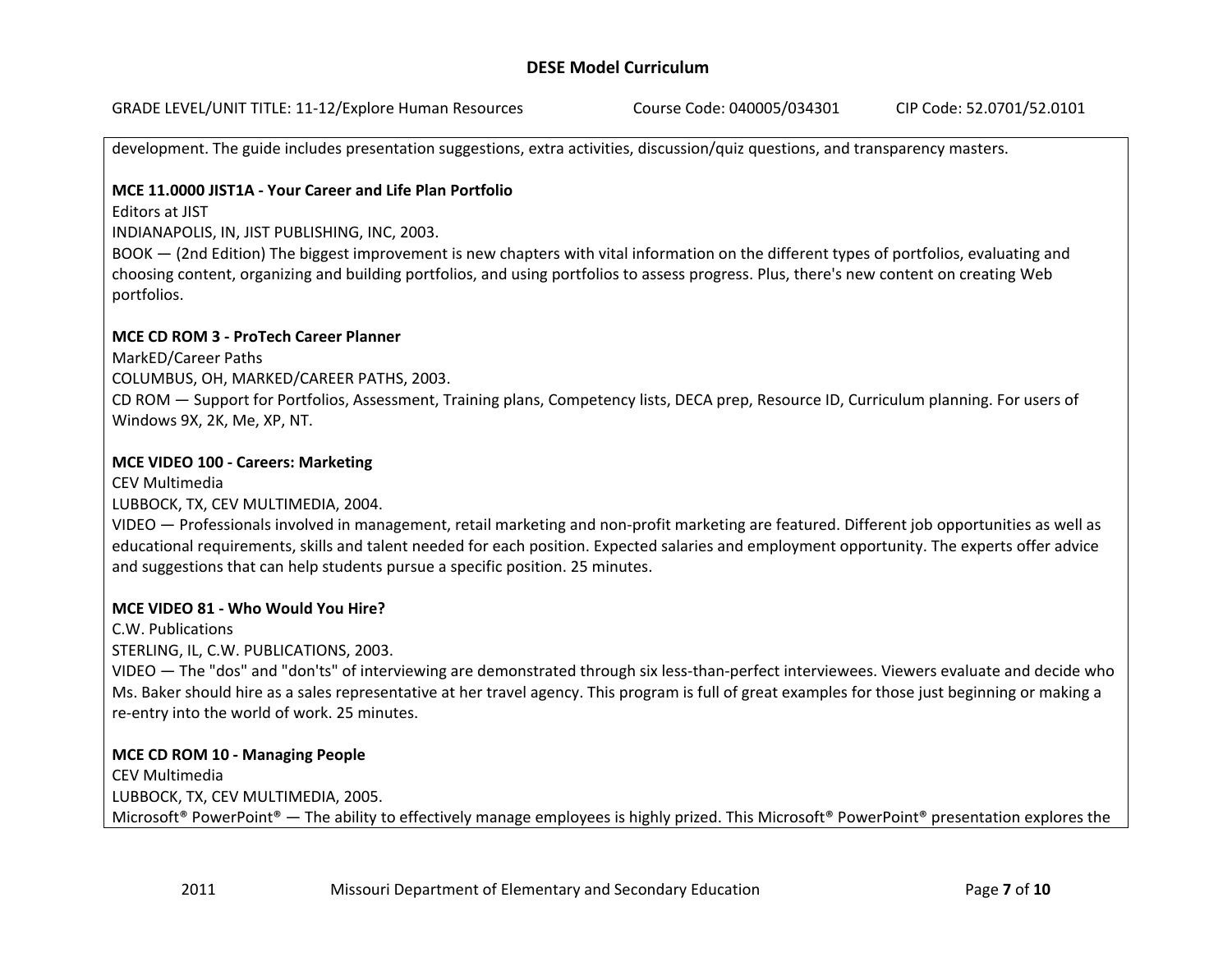GRADE LEVEL/UNIT TITLE: 11‐12/Explore Human Resources Course Code: 040005/034301 CIP Code: 52.0701/52.0101

development. The guide includes presentation suggestions, extra activities, discussion/quiz questions, and transparency masters.

## **MCE 11.0000 JIST1A ‐ Your Career and Life Plan Portfolio**

Editors at JIST

INDIANAPOLIS, IN, JIST PUBLISHING, INC, 2003.

BOOK — (2nd Edition) The biggest improvement is new chapters with vital information on the different types of portfolios, evaluating and choosing content, organizing and building portfolios, and using portfolios to assess progress. Plus, there's new content on creating Web portfolios.

#### **MCE CD ROM 3 ‐ ProTech Career Planner**

MarkED/Career Paths

COLUMBUS, OH, MARKED/CAREER PATHS, 2003.

CD ROM — Support for Portfolios, Assessment, Training plans, Competency lists, DECA prep, Resource ID, Curriculum planning. For users of Windows 9X, 2K, Me, XP, NT.

#### **MCE VIDEO 100 ‐ Careers: Marketing**

CEV Multimedia LUBBOCK, TX, CEV MULTIMEDIA, 2004.

VIDEO — Professionals involved in management, retail marketing and non‐profit marketing are featured. Different job opportunities as well as educational requirements, skills and talent needed for each position. Expected salaries and employment opportunity. The experts offer advice and suggestions that can help students pursue <sup>a</sup> specific position. 25 minutes.

## **MCE VIDEO 81 ‐ Who Would You Hire?**

C.W. Publications

STERLING, IL, C.W. PUBLICATIONS, 2003.

VIDEO — The "dos" and "don'ts" of interviewing are demonstrated through six less‐than‐perfect interviewees. Viewers evaluate and decide who Ms. Baker should hire as <sup>a</sup> sales representative at her travel agency. This program is full of great examples for those just beginning or making <sup>a</sup> re‐entry into the world of work. 25 minutes.

## **MCE CD ROM 10 ‐ Managing People**

2011

CEV Multimedia LUBBOCK, TX, CEV MULTIMEDIA, 2005. Microsoft® PowerPoint® — The ability to effectively manage employees is highly prized. This Microsoft® PowerPoint® presentation explores the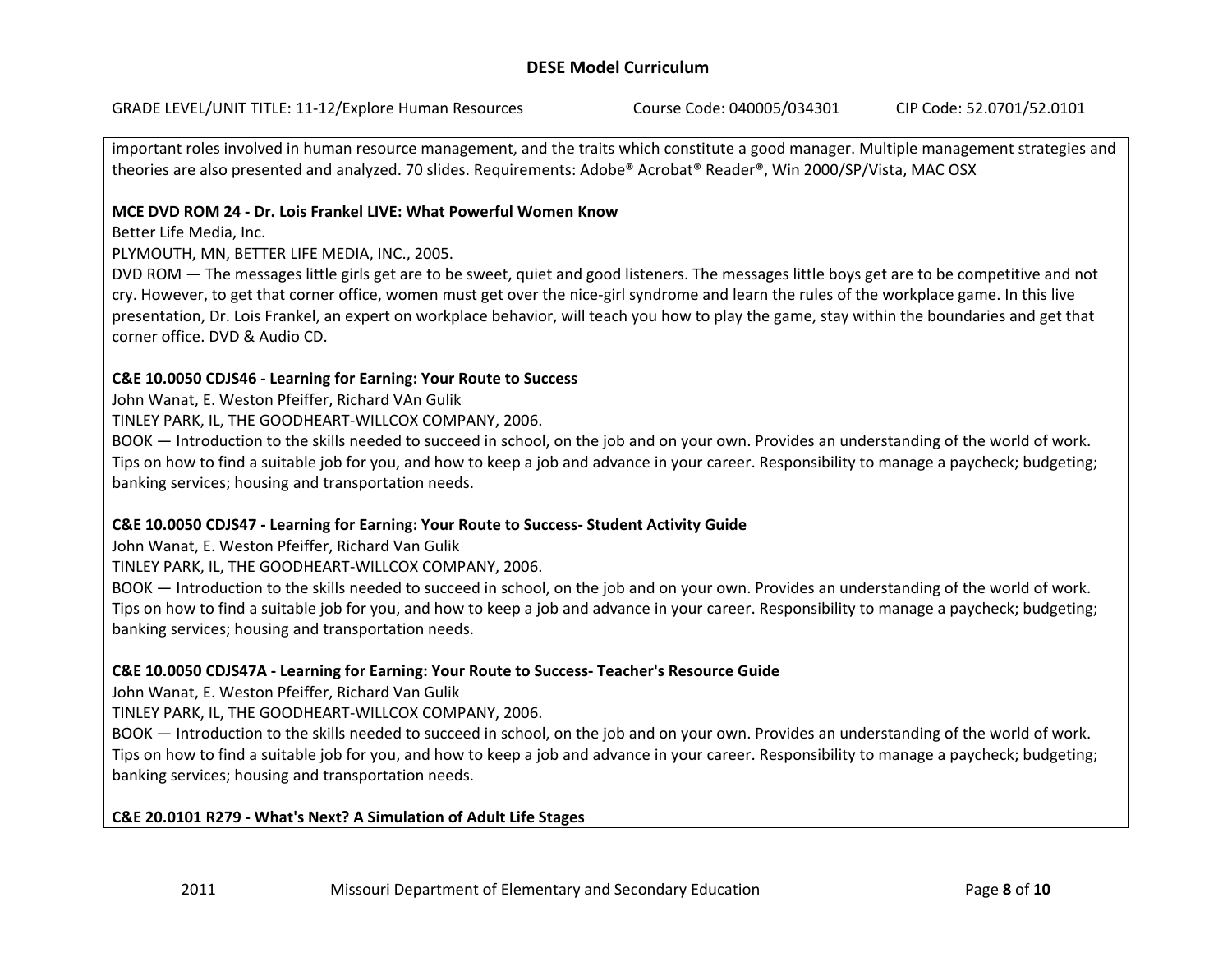important roles involved in human resource management, and the traits which constitute <sup>a</sup> good manager. Multiple management strategies and theories are also presented and analyzed. 70 slides. Requirements: Adobe® Acrobat® Reader®, Win 2000/SP/Vista, MAC OSX

## **MCE DVD ROM 24 ‐ Dr. Lois Frankel LIVE: What Powerful Women Know**

Better Life Media, Inc.

PLYMOUTH, MN, BETTER LIFE MEDIA, INC., 2005.

DVD ROM — The messages little girls get are to be sweet, quiet and good listeners. The messages little boys get are to be competitive and not cry. However, to get that corner office, women must get over the nice‐girl syndrome and learn the rules of the workplace game. In this live presentation, Dr. Lois Frankel, an expert on workplace behavior, will teach you how to play the game, stay within the boundaries and get that corner office. DVD & Audio CD.

## **C&E 10.0050 CDJS46 ‐ Learning for Earning: Your Route to Success**

John Wanat, E. Weston Pfeiffer, Richard VAn Gulik

TINLEY PARK, IL, THE GOODHEART‐WILLCOX COMPANY, 2006.

BOOK — Introduction to the skills needed to succeed in school, on the job and on your own. Provides an understanding of the world of work. Tips on how to find <sup>a</sup> suitable job for you, and how to keep <sup>a</sup> job and advance in your career. Responsibility to manage <sup>a</sup> paycheck; budgeting; banking services; housing and transportation needs.

## **C&E 10.0050 CDJS47 ‐ Learning for Earning: Your Route to Success‐ Student Activity Guide**

John Wanat, E. Weston Pfeiffer, Richard Van Gulik

TINLEY PARK, IL, THE GOODHEART‐WILLCOX COMPANY, 2006.

BOOK — Introduction to the skills needed to succeed in school, on the job and on your own. Provides an understanding of the world of work. Tips on how to find <sup>a</sup> suitable job for you, and how to keep <sup>a</sup> job and advance in your career. Responsibility to manage <sup>a</sup> paycheck; budgeting; banking services; housing and transportation needs.

# **C&E 10.0050 CDJS47A ‐ Learning for Earning: Your Route to Success‐ Teacher's Resource Guide**

John Wanat, E. Weston Pfeiffer, Richard Van Gulik

2011

TINLEY PARK, IL, THE GOODHEART‐WILLCOX COMPANY, 2006.

BOOK — Introduction to the skills needed to succeed in school, on the job and on your own. Provides an understanding of the world of work. Tips on how to find <sup>a</sup> suitable job for you, and how to keep <sup>a</sup> job and advance in your career. Responsibility to manage <sup>a</sup> paycheck; budgeting; banking services; housing and transportation needs.

# **C&E 20.0101 R279 ‐ What's Next? A Simulation of Adult Life Stages**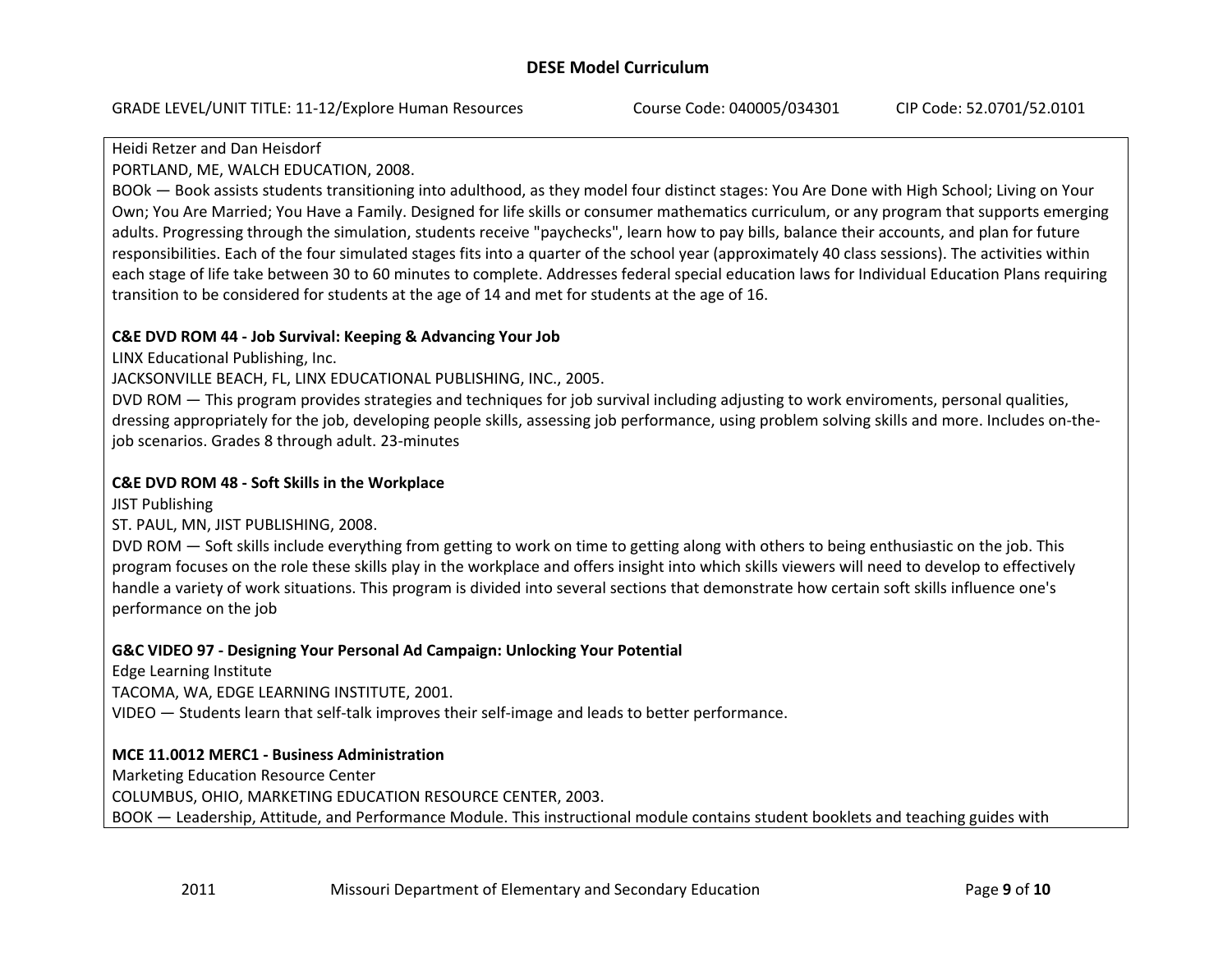#### Heidi Retzer and Dan Heisdorf

PORTLAND, ME, WALCH EDUCATION, 2008.

BOOk — Book assists students transitioning into adulthood, as they model four distinct stages: You Are Done with High School; Living on Your Own; You Are Married; You Have <sup>a</sup> Family. Designed for life skills or consumer mathematics curriculum, or any program that supports emerging adults. Progressing through the simulation, students receive "paychecks", learn how to pay bills, balance their accounts, and plan for future responsibilities. Each of the four simulated stages fits into <sup>a</sup> quarter of the school year (approximately 40 class sessions). The activities within each stage of life take between 30 to 60 minutes to complete. Addresses federal special education laws for Individual Education Plans requiring transition to be considered for students at the age of 14 and met for students at the age of 16.

## **C&E DVD ROM 44 ‐ Job Survival: Keeping & Advancing Your Job**

LINX Educational Publishing, Inc.

JACKSONVILLE BEACH, FL, LINX EDUCATIONAL PUBLISHING, INC., 2005.

DVD ROM — This program provides strategies and techniques for job survival including adjusting to work enviroments, personal qualities, dressing appropriately for the job, developing people skills, assessing job performance, using problem solving skills and more. Includes on-thejob scenarios. Grades 8 through adult. 23‐minutes

## **C&E DVD ROM 48 ‐ Soft Skills in the Workplace**

JIST Publishing

ST. PAUL, MN, JIST PUBLISHING, 2008.

DVD ROM — Soft skills include everything from getting to work on time to getting along with others to being enthusiastic on the job. This program focuses on the role these skills play in the workplace and offers insight into which skills viewers will need to develop to effectively handle <sup>a</sup> variety of work situations. This program is divided into several sections that demonstrate how certain soft skills influence one's performance on the job

## **G&C VIDEO 97 ‐ Designing Your Personal Ad Campaign: Unlocking Your Potential**

Edge Learning Institute

TACOMA, WA, EDGE LEARNING INSTITUTE, 2001.

VIDEO — Students learn that self‐talk improves their self‐image and leads to better performance.

## **MCE 11.0012 MERC1 ‐ Business Administration**

Marketing Education Resource Center

COLUMBUS, OHIO, MARKETING EDUCATION RESOURCE CENTER, 2003.

BOOK — Leadership, Attitude, and Performance Module. This instructional module contains student booklets and teaching guides with